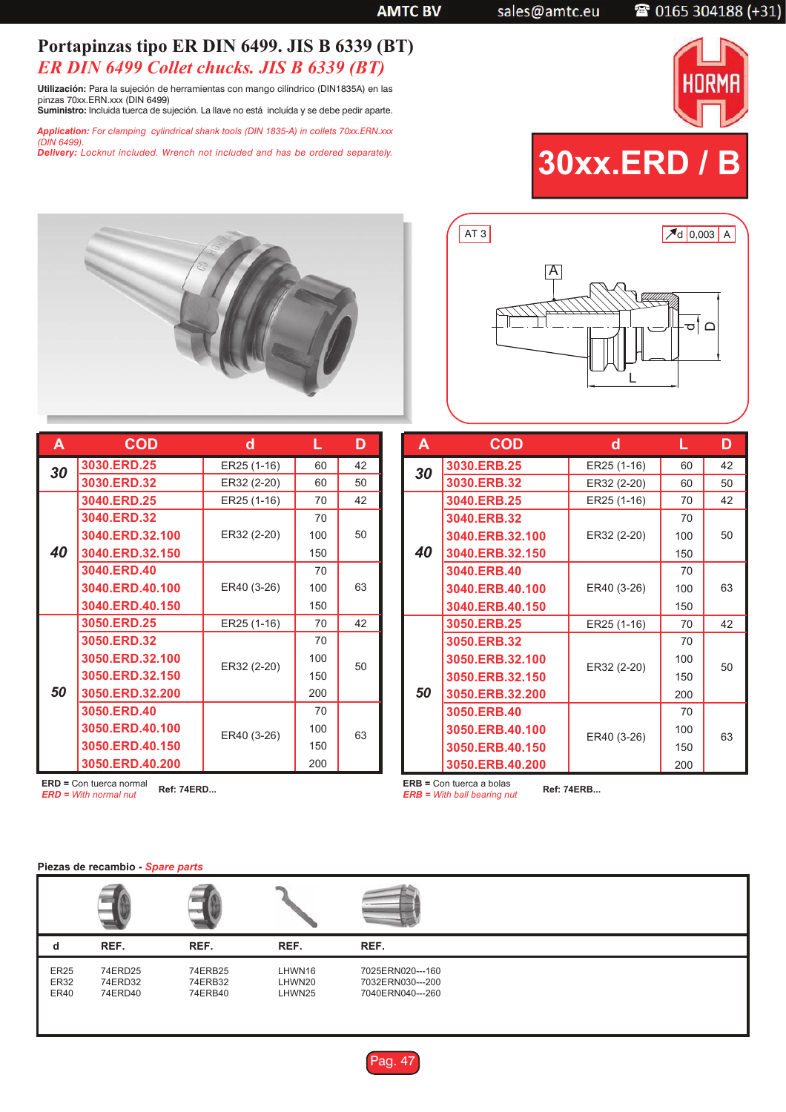sales@amtc.eu

## 2 0165 304188 (+31)

## **Portapinzas tipo ER DIN 6499. JIS B 6339 (BT)** *ER DIN 6499 Collet chucks. JIS B 6339 (BT)*

**Utilización:** Para la sujeción de herramientas con mango cilíndrico (DIN1835A) en las pinzas 70xx.ERN.xxx (DIN 6499) **Suministro:** Incluida tuerca de sujeción. La llave no está incluída y se debe pedir aparte.

*Application: For clamping cylindrical shank tools (DIN 1835-A) in collets 70xx.ERN.xxx*

*(DIN 6499). Delivery: Locknut included. Wrench not included and has be ordered separately.*







| A  | <b>COD</b>         | d           |     | D  |
|----|--------------------|-------------|-----|----|
| 30 | <b>3030.ERD.25</b> | ER25 (1-16) | 60  | 42 |
|    | 3030.ERD.32        | ER32 (2-20) | 60  | 50 |
|    | 3040.ERD.25        | ER25 (1-16) | 70  | 42 |
|    | 3040.ERD.32        |             | 70  | 50 |
|    | 3040.ERD.32.100    | ER32 (2-20) | 100 |    |
| 40 | 3040.ERD.32.150    |             | 150 |    |
|    | 3040.ERD.40        |             | 70  |    |
|    | 3040.ERD.40.100    | ER40 (3-26) | 100 | 63 |
|    | 3040.ERD.40.150    |             | 150 |    |
|    | 3050.ERD.25        | ER25 (1-16) | 70  | 42 |
|    | 3050.ERD.32        |             | 70  | 50 |
| 50 | 3050.ERD.32.100    | ER32 (2-20) | 100 |    |
|    | 3050.ERD.32.150    |             | 150 |    |
|    | 3050.ERD.32.200    |             | 200 |    |
|    | 3050.ERD.40        |             | 70  | 63 |
|    | 3050.ERD.40.100    | ER40 (3-26) | 100 |    |
|    | 3050.ERD.40.150    |             | 150 |    |
|    | 3050.ERD.40.200    |             | 200 |    |

| A  | <b>COD</b>      | d           |     | D  |
|----|-----------------|-------------|-----|----|
| 30 | 3030.ERB.25     | ER25 (1-16) | 60  | 42 |
|    | 3030.ERB.32     | ER32 (2-20) | 60  | 50 |
|    | 3040.ERB.25     | ER25 (1-16) | 70  | 42 |
|    | 3040.ERB.32     |             | 70  | 50 |
|    | 3040.ERB.32.100 | ER32 (2-20) | 100 |    |
| 40 | 3040.ERB.32.150 |             | 150 |    |
|    | 3040.ERB.40     |             | 70  |    |
|    | 3040.ERB.40.100 | ER40 (3-26) | 100 | 63 |
|    | 3040.ERB.40.150 |             | 150 |    |
|    | 3050.ERB.25     | ER25 (1-16) | 70  | 42 |
|    | 3050.ERB.32     |             | 70  | 50 |
| 50 | 3050.ERB.32.100 | ER32 (2-20) | 100 |    |
|    | 3050.ERB.32.150 |             | 150 |    |
|    | 3050.ERB.32.200 |             | 200 |    |
|    | 3050.ERB.40     |             | 70  |    |
|    | 3050.ERB.40.100 | ER40 (3-26) | 100 | 63 |
|    | 3050.ERB.40.150 |             | 150 |    |
|    | 3050.ERB.40.200 |             | 200 |    |

**ERD =** Con tuerca normal *ERD = With normal nut* **Ref: 74ERD...**

**ERB =** Con tuerca a bolas *ERB = With ball bearing nut* **Ref: 74ERB...**

## **Piezas de recambio -** *Spare parts*

| d                                         | REF.                          | REF.                          | REF.                       | REF.                                                     |
|-------------------------------------------|-------------------------------|-------------------------------|----------------------------|----------------------------------------------------------|
| <b>ER25</b><br><b>ER32</b><br><b>ER40</b> | 74ERD25<br>74ERD32<br>74ERD40 | 74ERB25<br>74ERB32<br>74ERB40 | LHWN16<br>LHWN20<br>LHWN25 | 7025ERN020---160<br>7032ERN030---200<br>7040ERN040---260 |